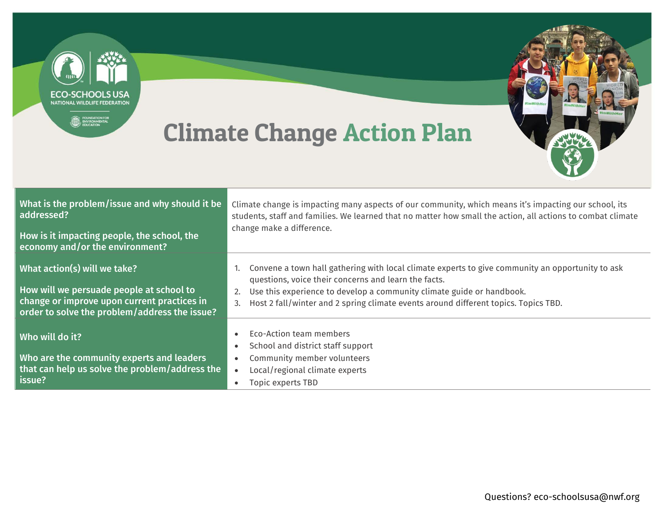